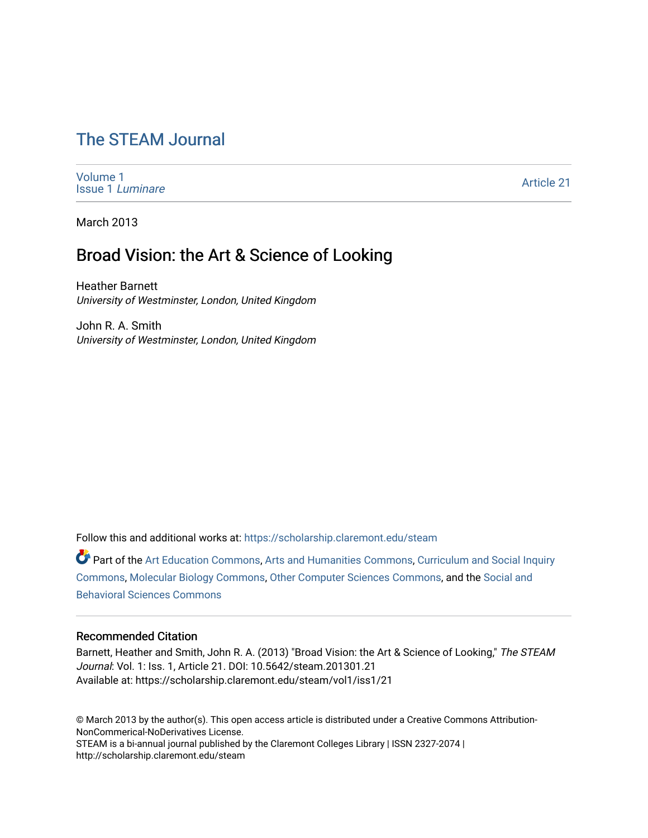# [The STEAM Journal](https://scholarship.claremont.edu/steam)

[Volume 1](https://scholarship.claremont.edu/steam/vol1) [Issue 1](https://scholarship.claremont.edu/steam/vol1/iss1) Luminare

[Article 21](https://scholarship.claremont.edu/steam/vol1/iss1/21) 

March 2013

## Broad Vision: the Art & Science of Looking

Heather Barnett University of Westminster, London, United Kingdom

John R. A. Smith University of Westminster, London, United Kingdom

Follow this and additional works at: [https://scholarship.claremont.edu/steam](https://scholarship.claremont.edu/steam?utm_source=scholarship.claremont.edu%2Fsteam%2Fvol1%2Fiss1%2F21&utm_medium=PDF&utm_campaign=PDFCoverPages) 

Part of the [Art Education Commons](https://network.bepress.com/hgg/discipline/1149?utm_source=scholarship.claremont.edu%2Fsteam%2Fvol1%2Fiss1%2F21&utm_medium=PDF&utm_campaign=PDFCoverPages), [Arts and Humanities Commons](https://network.bepress.com/hgg/discipline/438?utm_source=scholarship.claremont.edu%2Fsteam%2Fvol1%2Fiss1%2F21&utm_medium=PDF&utm_campaign=PDFCoverPages), [Curriculum and Social Inquiry](https://network.bepress.com/hgg/discipline/1038?utm_source=scholarship.claremont.edu%2Fsteam%2Fvol1%2Fiss1%2F21&utm_medium=PDF&utm_campaign=PDFCoverPages)  [Commons](https://network.bepress.com/hgg/discipline/1038?utm_source=scholarship.claremont.edu%2Fsteam%2Fvol1%2Fiss1%2F21&utm_medium=PDF&utm_campaign=PDFCoverPages), [Molecular Biology Commons,](https://network.bepress.com/hgg/discipline/5?utm_source=scholarship.claremont.edu%2Fsteam%2Fvol1%2Fiss1%2F21&utm_medium=PDF&utm_campaign=PDFCoverPages) [Other Computer Sciences Commons](https://network.bepress.com/hgg/discipline/152?utm_source=scholarship.claremont.edu%2Fsteam%2Fvol1%2Fiss1%2F21&utm_medium=PDF&utm_campaign=PDFCoverPages), and the [Social and](https://network.bepress.com/hgg/discipline/316?utm_source=scholarship.claremont.edu%2Fsteam%2Fvol1%2Fiss1%2F21&utm_medium=PDF&utm_campaign=PDFCoverPages) [Behavioral Sciences Commons](https://network.bepress.com/hgg/discipline/316?utm_source=scholarship.claremont.edu%2Fsteam%2Fvol1%2Fiss1%2F21&utm_medium=PDF&utm_campaign=PDFCoverPages) 

### Recommended Citation

Barnett, Heather and Smith, John R. A. (2013) "Broad Vision: the Art & Science of Looking," The STEAM Journal: Vol. 1: Iss. 1, Article 21. DOI: 10.5642/steam.201301.21 Available at: https://scholarship.claremont.edu/steam/vol1/iss1/21

© March 2013 by the author(s). This open access article is distributed under a Creative Commons Attribution-NonCommerical-NoDerivatives License. STEAM is a bi-annual journal published by the Claremont Colleges Library | ISSN 2327-2074 | http://scholarship.claremont.edu/steam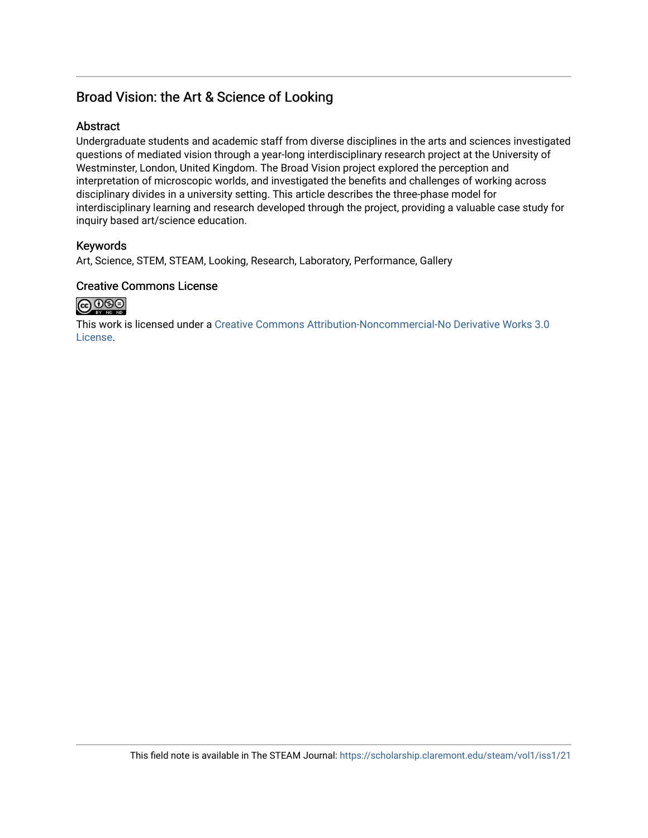## Broad Vision: the Art & Science of Looking

## **Abstract**

Undergraduate students and academic staff from diverse disciplines in the arts and sciences investigated questions of mediated vision through a year-long interdisciplinary research project at the University of Westminster, London, United Kingdom. The Broad Vision project explored the perception and interpretation of microscopic worlds, and investigated the benefits and challenges of working across disciplinary divides in a university setting. This article describes the three-phase model for interdisciplinary learning and research developed through the project, providing a valuable case study for inquiry based art/science education.

## Keywords

Art, Science, STEM, STEAM, Looking, Research, Laboratory, Performance, Gallery

### Creative Commons License



This work is licensed under a [Creative Commons Attribution-Noncommercial-No Derivative Works 3.0](https://creativecommons.org/licenses/by-nc-nd/3.0/) [License](https://creativecommons.org/licenses/by-nc-nd/3.0/).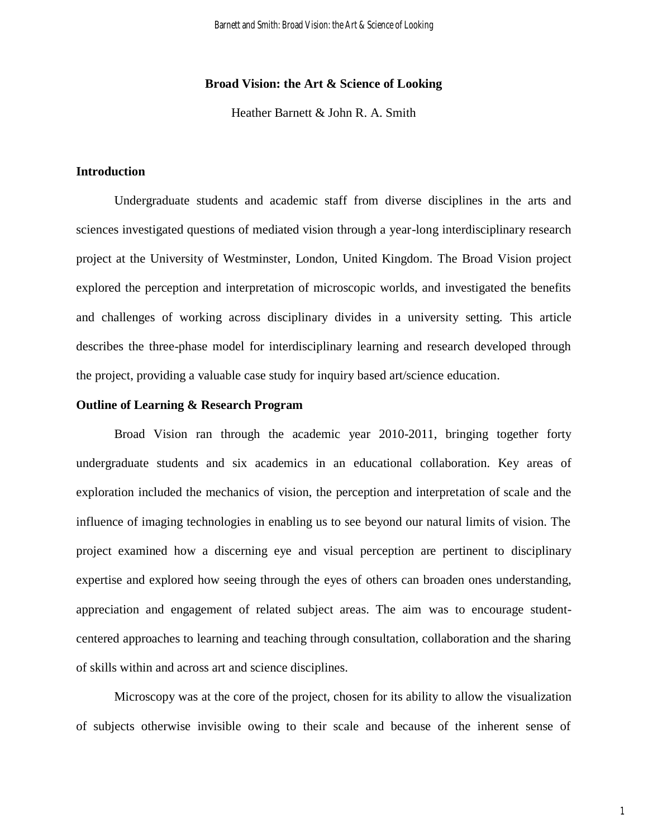#### **Broad Vision: the Art & Science of Looking**

Heather Barnett & John R. A. Smith

#### **Introduction**

Undergraduate students and academic staff from diverse disciplines in the arts and sciences investigated questions of mediated vision through a year-long interdisciplinary research project at the University of Westminster, London, United Kingdom. The Broad Vision project explored the perception and interpretation of microscopic worlds, and investigated the benefits and challenges of working across disciplinary divides in a university setting. This article describes the three-phase model for interdisciplinary learning and research developed through the project, providing a valuable case study for inquiry based art/science education.

#### **Outline of Learning & Research Program**

Broad Vision ran through the academic year 2010-2011, bringing together forty undergraduate students and six academics in an educational collaboration. Key areas of exploration included the mechanics of vision, the perception and interpretation of scale and the influence of imaging technologies in enabling us to see beyond our natural limits of vision. The project examined how a discerning eye and visual perception are pertinent to disciplinary expertise and explored how seeing through the eyes of others can broaden ones understanding, appreciation and engagement of related subject areas. The aim was to encourage studentcentered approaches to learning and teaching through consultation, collaboration and the sharing of skills within and across art and science disciplines.

Microscopy was at the core of the project, chosen for its ability to allow the visualization of subjects otherwise invisible owing to their scale and because of the inherent sense of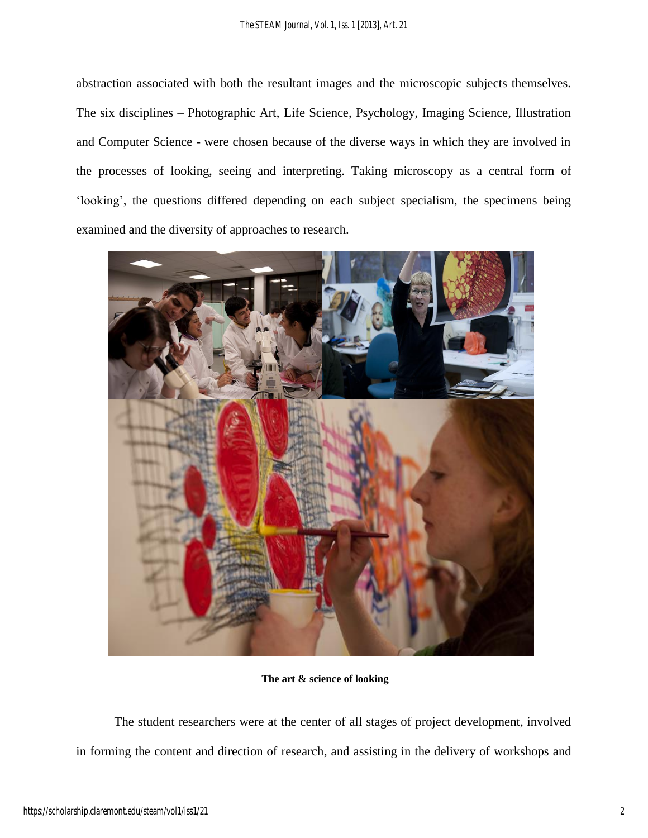abstraction associated with both the resultant images and the microscopic subjects themselves. The six disciplines – Photographic Art, Life Science, Psychology, Imaging Science, Illustration and Computer Science - were chosen because of the diverse ways in which they are involved in the processes of looking, seeing and interpreting. Taking microscopy as a central form of 'looking', the questions differed depending on each subject specialism, the specimens being examined and the diversity of approaches to research.



**The art & science of looking**

The student researchers were at the center of all stages of project development, involved in forming the content and direction of research, and assisting in the delivery of workshops and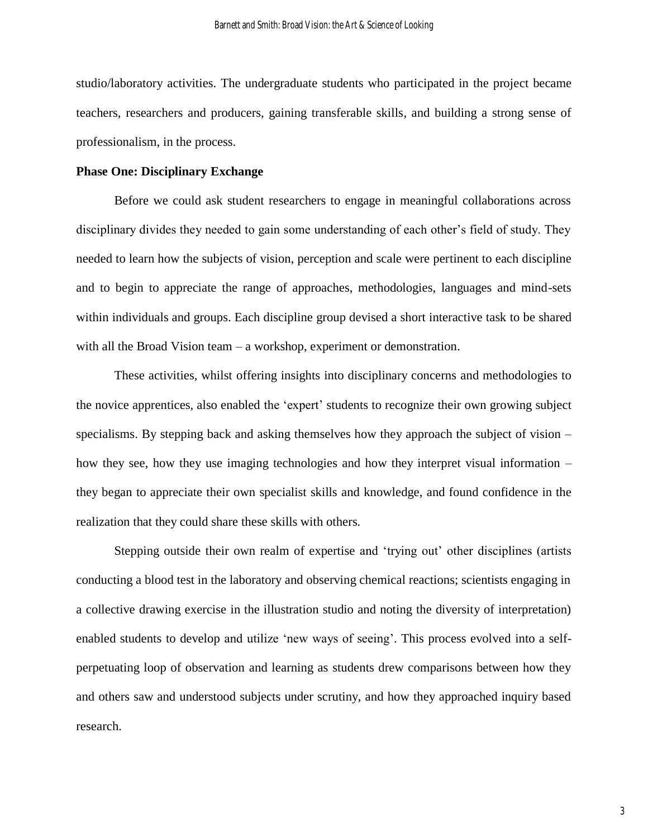studio/laboratory activities. The undergraduate students who participated in the project became teachers, researchers and producers, gaining transferable skills, and building a strong sense of professionalism, in the process.

#### **Phase One: Disciplinary Exchange**

Before we could ask student researchers to engage in meaningful collaborations across disciplinary divides they needed to gain some understanding of each other's field of study. They needed to learn how the subjects of vision, perception and scale were pertinent to each discipline and to begin to appreciate the range of approaches, methodologies, languages and mind-sets within individuals and groups. Each discipline group devised a short interactive task to be shared with all the Broad Vision team – a workshop, experiment or demonstration.

These activities, whilst offering insights into disciplinary concerns and methodologies to the novice apprentices, also enabled the 'expert' students to recognize their own growing subject specialisms. By stepping back and asking themselves how they approach the subject of vision – how they see, how they use imaging technologies and how they interpret visual information – they began to appreciate their own specialist skills and knowledge, and found confidence in the realization that they could share these skills with others.

Stepping outside their own realm of expertise and 'trying out' other disciplines (artists conducting a blood test in the laboratory and observing chemical reactions; scientists engaging in a collective drawing exercise in the illustration studio and noting the diversity of interpretation) enabled students to develop and utilize 'new ways of seeing'. This process evolved into a selfperpetuating loop of observation and learning as students drew comparisons between how they and others saw and understood subjects under scrutiny, and how they approached inquiry based research.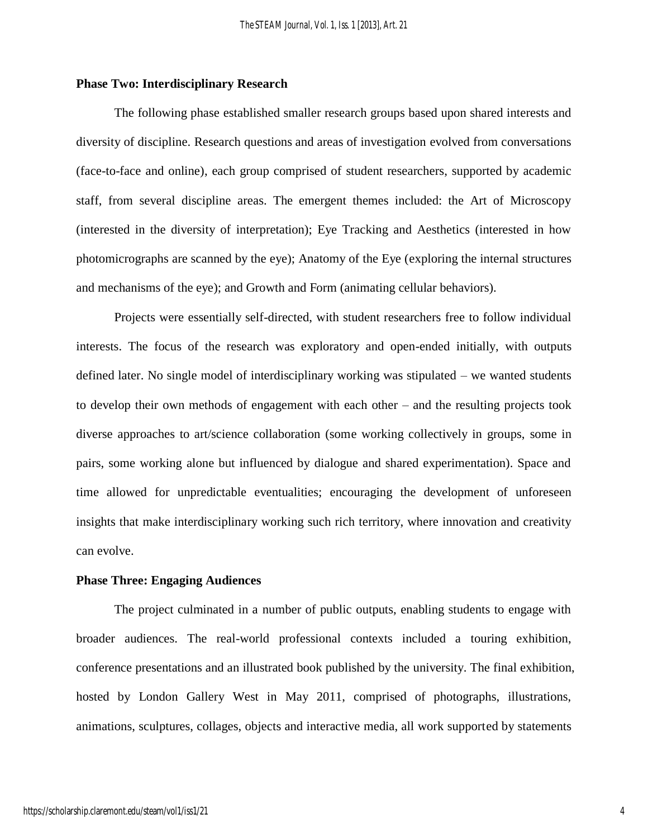#### **Phase Two: Interdisciplinary Research**

The following phase established smaller research groups based upon shared interests and diversity of discipline. Research questions and areas of investigation evolved from conversations (face-to-face and online), each group comprised of student researchers, supported by academic staff, from several discipline areas. The emergent themes included: the Art of Microscopy (interested in the diversity of interpretation); Eye Tracking and Aesthetics (interested in how photomicrographs are scanned by the eye); Anatomy of the Eye (exploring the internal structures and mechanisms of the eye); and Growth and Form (animating cellular behaviors).

Projects were essentially self-directed, with student researchers free to follow individual interests. The focus of the research was exploratory and open-ended initially, with outputs defined later. No single model of interdisciplinary working was stipulated – we wanted students to develop their own methods of engagement with each other – and the resulting projects took diverse approaches to art/science collaboration (some working collectively in groups, some in pairs, some working alone but influenced by dialogue and shared experimentation). Space and time allowed for unpredictable eventualities; encouraging the development of unforeseen insights that make interdisciplinary working such rich territory, where innovation and creativity can evolve.

#### **Phase Three: Engaging Audiences**

The project culminated in a number of public outputs, enabling students to engage with broader audiences. The real-world professional contexts included a touring exhibition, conference presentations and an illustrated book published by the university. The final exhibition, hosted by London Gallery West in May 2011, comprised of photographs, illustrations, animations, sculptures, collages, objects and interactive media, all work supported by statements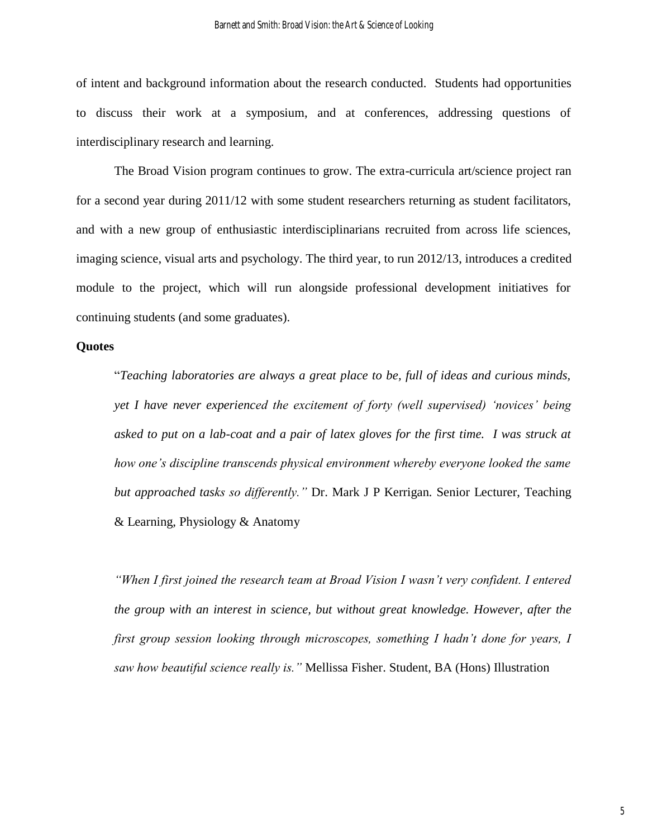of intent and background information about the research conducted. Students had opportunities to discuss their work at a symposium, and at conferences, addressing questions of interdisciplinary research and learning.

The Broad Vision program continues to grow. The extra-curricula art/science project ran for a second year during 2011/12 with some student researchers returning as student facilitators, and with a new group of enthusiastic interdisciplinarians recruited from across life sciences, imaging science, visual arts and psychology. The third year, to run 2012/13, introduces a credited module to the project, which will run alongside professional development initiatives for continuing students (and some graduates).

#### **Quotes**

"*Teaching laboratories are always a great place to be, full of ideas and curious minds, yet I have never experienced the excitement of forty (well supervised) 'novices' being asked to put on a lab-coat and a pair of latex gloves for the first time. I was struck at how one's discipline transcends physical environment whereby everyone looked the same but approached tasks so differently."* Dr. Mark J P Kerrigan*.* Senior Lecturer, Teaching & Learning, Physiology & Anatomy

*"When I first joined the research team at Broad Vision I wasn't very confident. I entered the group with an interest in science, but without great knowledge. However, after the first group session looking through microscopes, something I hadn't done for years, I saw how beautiful science really is."* Mellissa Fisher. Student, BA (Hons) Illustration